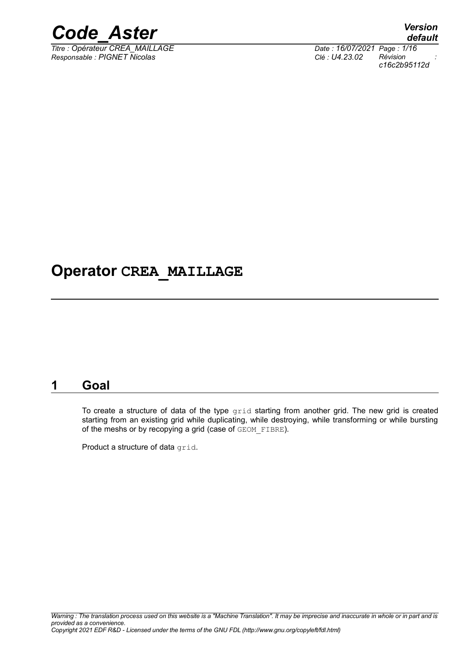

*Titre : Opérateur CREA\_MAILLAGE Date : 16/07/2021 Page : 1/16 Responsable : PIGNET Nicolas Clé : U4.23.02 Révision :*

*default c16c2b95112d*

## **Operator CREA\_MAILLAGE**

## **1 Goal**

To create a structure of data of the type grid starting from another grid. The new grid is created starting from an existing grid while duplicating, while destroying, while transforming or while bursting of the meshs or by recopying a grid (case of GEOM FIBRE).

Product a structure of data grid.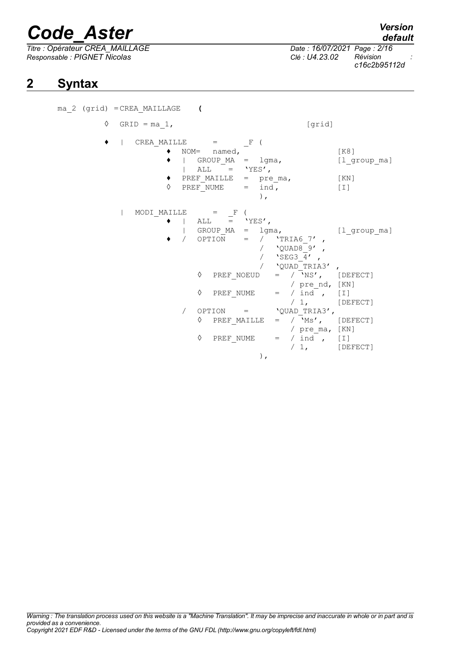*Titre : Opérateur CREA\_MAILLAGE Date : 16/07/2021 Page : 2/16 Responsable : PIGNET Nicolas Clé : U4.23.02 Révision :*

# *c16c2b95112d*

## **2 Syntax**

ma\_2 (grid) =CREA\_MAILLAGE **(**  $\Diamond$  GRID = ma 1, [grid]  $|\text{CREA MALLLE}$  =  $\text{F}$  ( ♦ NOM= named, [K8]  $\begin{array}{cccc} \bullet & | & \text{GROUP\_MA} & = & \text{lgma,} \\ | & | & \text{ALL} & = & \text{YES'} \end{array}$  [1\_group\_ma] |  $ALL = YES'$ , ♦ PREF\_MAILLE = pre\_ma, [KN]  $\Diamond$  PREF\_NUME = ind, [I] ),  $|$  MODI MAILLE  $=$  F (  $|$  ALL = 'YES', | GROUP MA = lgma, [l group ma]  $\sqrt{OPTION}$  =  $\sqrt{TRIA67'}$  ,  $\sqrt{2}$   $\sqrt{2}$   $\sqrt{2}$   $\sqrt{2}$   $\sqrt{2}$   $\sqrt{2}$   $\sqrt{2}$   $\sqrt{2}$   $\sqrt{2}$   $\sqrt{2}$   $\sqrt{2}$   $\sqrt{2}$   $\sqrt{2}$   $\sqrt{2}$   $\sqrt{2}$   $\sqrt{2}$   $\sqrt{2}$   $\sqrt{2}$   $\sqrt{2}$   $\sqrt{2}$   $\sqrt{2}$   $\sqrt{2}$   $\sqrt{2}$   $\sqrt{2}$   $\sqrt{2}$   $\sqrt{2}$   $\sqrt{2}$   $\sqrt{2$ /  $'$ SEG3  $\overline{4}'$  ,  $\begin{array}{ccc} \sqrt{2} & \text{QUAD} \text{TRIA3'} \\ = & / \sqrt{N} \text{S} \end{array}$  $\Diamond$  PREF NOEUD = /  $\sqrt{N}$ S', [DEFECT] / pre\_nd, [KN]<br>/ ind , [I]  $\Diamond$  PREF\_NUME = / ind , [I] / 1, [DEFECT]  $\angle$  OPTION =  $\angle$ QUAD\_TRIA3',<br>  $\angle$  PREF MAILLE =  $\angle$  Ms', [DEFECT]  $\Diamond$  PREF MAILLE = / pre ma, [KN]  $\begin{array}{ccc} \Diamond & \text{PREF\_NUME} & = & / \text{ind}^{\top} , & \text{[I]} \\ & & / 1 , & \text{[DE]} \end{array}$ [DEFECT] ),

*default*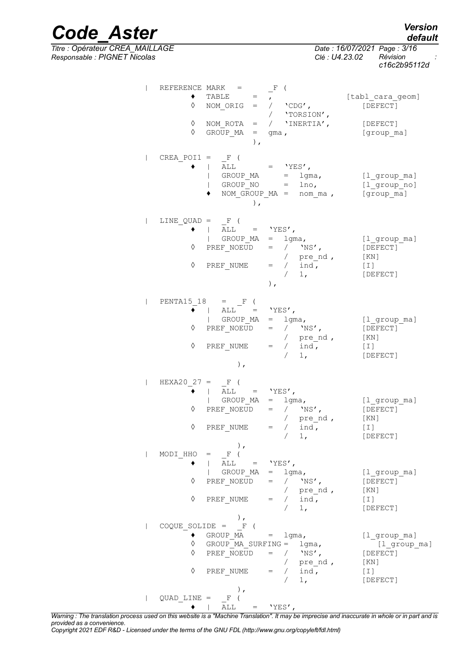*default*

*Code\_Aster Version Titre : Opérateur CREA\_MAILLAGE Date : 16/07/2021 Page : 3/16 Responsable : PIGNET Nicolas Clé : U4.23.02 Révision :*

*c16c2b95112d*

| REFERENCE MARK =<br>♦<br>$\Diamond$<br>♦ | $TABLE =$<br>NOM_ORIG = / <b>'</b> CDG',<br>YORSION',<br>NOM_ROTA = / <b>'</b> INERTIA',<br>GROUP $MA = gma$ ,<br>$\,$ ,                                                                                                                                                                                                                                       | $-F$ (                                                                             |                                               | [tabl_cara_geom]<br>[DEFECT]<br>[DEFECT]<br>[group ma]                                                                                         |
|------------------------------------------|----------------------------------------------------------------------------------------------------------------------------------------------------------------------------------------------------------------------------------------------------------------------------------------------------------------------------------------------------------------|------------------------------------------------------------------------------------|-----------------------------------------------|------------------------------------------------------------------------------------------------------------------------------------------------|
| $CREA_POII = -F$ (                       | $\vert$ ALL $\vert$ 'YES',<br>$\begin{array}{rcl} \text{I} & \text{I} & \text{I} & \text{I} \\ \text{GROUP\_MA} & = & \text{Igma,} \\ \text{I} & \text{GROUP\_NO} & = & \text{Ino,} \end{array}$<br>),                                                                                                                                                         |                                                                                    | NOM GROUP $MA = nom_{ma}$ ,                   | [l group ma]<br>$[1$ _group_no]<br>[group ma]                                                                                                  |
| LINE QUAD = $F$ (                        | $\bullet$   ALL = 'YES',<br>$\begin{array}{rcl}\n\circ & & & & \\ \downarrow & & \text{GROUP}\text{MA} & = & \text{Igma,} \\ \lozenge & & & \text{PREF\_NOEUD} & = & / & \text{NS'}, \\ \lozenge & & & & \text{PREF\_NUME} & = & / & \text{ind.} \\ \lozenge & & & & \text{PREF\_NUME} & = & / & \text{ind.} \\ \lozenge & & & & & \text{ind.} \\ \end{array}$ | $\,$ ,                                                                             |                                               | [l group ma]<br>[DEFECT]<br>[KN]<br>$\begin{bmatrix} 1 \end{bmatrix}$<br>[DEFECT]                                                              |
| $\Diamond$<br>$\Diamond$                 | PENTA15 18 = $F($<br>$\overline{\bullet}$   ALL = 'YES',<br>  GROUP_MA = lgma,<br>PREF NOEUD = $/$ 'NS',<br>PREF_NUME = $\begin{array}{ccc} & / & \text{pre\_nd} \\ & & > \\ & & \text{ind} \end{array}$ [KN]<br>[I]<br>$)$ ,                                                                                                                                  |                                                                                    | / 1,                                          | [l_group_ma]<br>[DEFECT]<br>[DEFECT]                                                                                                           |
| $\Diamond$                               | $\begin{array}{ccccccccc} \mathtt{HEXA20\_27} & = & & \mathtt{F} & ( & & & \\ \hline & &   & & \mathtt{ALL} & = & & \mathtt{YES}\ \end{array},$<br>∴ ¦ GROUP_MA = lgma,<br>◊ PREF_NOEUD = / 'NS',<br>PREF NUME $=$ / ind,                                                                                                                                      | 1,                                                                                 | / pre_nd,                                     | [l group ma]<br>[DEFECT]<br>[ KN ]<br>[T]<br>[DEFECT]                                                                                          |
| MODI HHO<br>♦<br>♦                       | Ι,<br>$=$ $\mathbb{F}$<br>ALL $=$ 'YES',<br>GROUP MA<br>PREF NOEUD<br>PREF NUME                                                                                                                                                                                                                                                                                | lgma,<br>$=$ $\qquad$<br>$\hspace{1.6cm} = \hspace{1.6cm}$<br>$=$<br>$\frac{1}{1}$ | / $'$ NS',<br>pre nd,<br>$\frac{1}{\pi}$ ind, | $[1$ <sup>o</sup> group $m$ a]<br>[DEFECT]<br>[KN]<br>$[\;1\;]$<br>[DEFECT]                                                                    |
| ٠<br>◊<br>♦<br>♦                         | $\,$ , $\,$<br>$COQUE SOLIDE = F ($<br>GROUP $MA$ = $1gma$ ,<br>GROUP MA SURFING = $1$ gma,<br>PREF NOEUD<br>PREF NUME<br>Ι,                                                                                                                                                                                                                                   | $/$ 'NS',<br>$=$<br>/ $ind$ ,<br>$=$                                               | / $pre\_nd$ ,<br>1,                           | $[1$ <sup>o</sup> group $m$ a]<br>$[1$ <sup>oroup_ma]</sup><br>[DEFECT]<br>[KN]<br>$\left[\begin{array}{c}\perp\end{array}\right]$<br>[DEFECT] |
| $QUAD$ LINE $=$                          | F (<br>ALL                                                                                                                                                                                                                                                                                                                                                     | $=$ 'YES',                                                                         |                                               |                                                                                                                                                |

*Warning : The translation process used on this website is a "Machine Translation". It may be imprecise and inaccurate in whole or in part and is provided as a convenience.*

*Copyright 2021 EDF R&D - Licensed under the terms of the GNU FDL (http://www.gnu.org/copyleft/fdl.html)*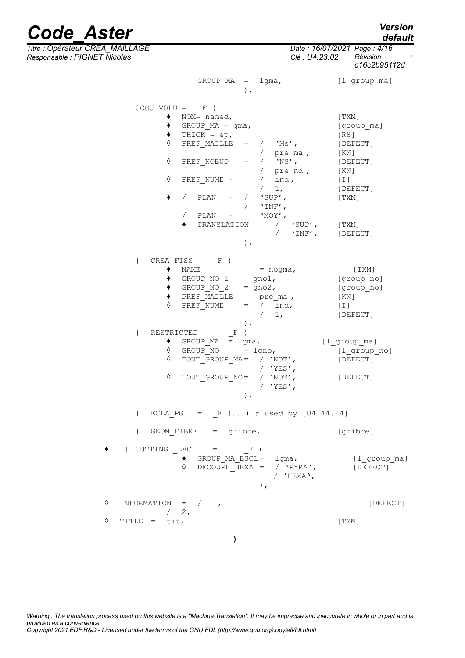*Titre : Opérateur CREA\_MAILLAGE Date : 16/07/2021 Page : 4/16*

| Version |
|---------|
| default |

*Code\_Aster Verall Code\_Aster Verall Code\_6.*<br><u>The : Opérateur CREA MAILLAGE *Date* : 16/07/2021 Page : 4/16</u> *Responsable : PIGNET Nicolas Clé : U4.23.02 Révision : c16c2b95112d* | GROUP MA = lgma, [l group ma] ),  $\begin{array}{cccc} \text{COOU} & \text{VOLU} & = & \text{F} & \text{C} \end{array}$  $\bullet$  NOM= named,  $[TXM]$ ◆ GROUP MA = gma, [group ma]  $\begin{array}{ll}\n\bullet \quad \text{THICK} = \text{ep}, \\
\lozenge \quad \text{PREF} \quad \text{MAILLE} \quad = \quad / \quad \text{'Ms'} \,, \n\end{array}$  [R8] PREF\_MAILLE =  $/$  'Ms', [DEFECT] / pre\_ma , [KN]<br>/ 'NS', [DEF  $\Diamond$  PREF\_NOEUD = / 'NS', [DEFECT] /  $pre$ nd ,  $[KN]$  $\Diamond$  PREF NUME = / ind , [I] / 1, [DEFECT]  $\bullet$  / PLAN = / 'SUP', [TXM]  $\sqrt{V_{\text{N}}\mathbf{F'}}$ ,  $\begin{array}{ccc} \text{/} & \text{PLAN} & = & \text{'MOY'} \text{,} \ \bullet & \text{TRANSLATION} & = & / \text{'SUP'} \text{,} \end{array}$  $\triangleleft$  TRANSLATION = /  $\text{SUP}',$  [TXM] / 'INF', [DEFECT] ),  $|$  CREA\_FISS =  $_F ($  $\bullet$  NAME = nogma, [TXM]  $\bullet$  GROUP NO 1 = gno1, [group no]  $\begin{array}{lll} \text{\large $\bullet$} & \text{GROUP}^- \text{NO}_2 & = \text{gno2,} & \text{[group}^- \text{no1}$ \end{array}$ ♦ PREF\_MAILLE = pre\_ma , [KN]  $\sqrt{PREF}$  NUME = /  $\overline{ind}$ , [I] / 1, [DEFECT] ),<br>  $\frac{}{\mathrm{F}}$  ( | RESTRICTED =  $\begin{array}{ll}\n\bullet & \text{GROUP\_MA} & = \text{lgma,} \\
\lozenge & \text{GROUP\_NO} & = \text{lgno,} \\
\hline\n\end{array}$   $\begin{array}{ll}\n\text{[l\_group\_ma]} \\
\lozenge & \text{[l group\_m]}\n\end{array}$  $\Diamond$  GROUP NO = lgno, [l group no] ◊ TOUT\_GROUP\_MA= / 'NOT', [DEFECT] / 'YES',<br>/ 'NOT', ◊ TOUT\_GROUP\_NO= / 'NOT', [DEFECT]  $/$  'YES', ), | ECLA PG =  $F$  (...) # used by  $[U4.44.14]$ | GEOM\_FIBRE = gfibre,  $[g$ fibre]  $\vert$  CUTTING LAC = F (  $\bullet$  GROUP\_MA\_ESCL= lgma,  $[1\_\text{group\_ma}]$ <br>  $\circ$  DECOUPE HEXA = / 'PYRA',  $[DEFECT]$  $\overline{D}$  DECOUPE HEXA = / 'PYRA',  $\overline{D}$  [DEFECT] / 'HEXA', ),  $\Diamond$  INFORMATION =  $/ 1$ , [DEFECT]  $/ 2$ ,  $\Diamond$  TITLE = tit,  $[TXM]$ 

**)**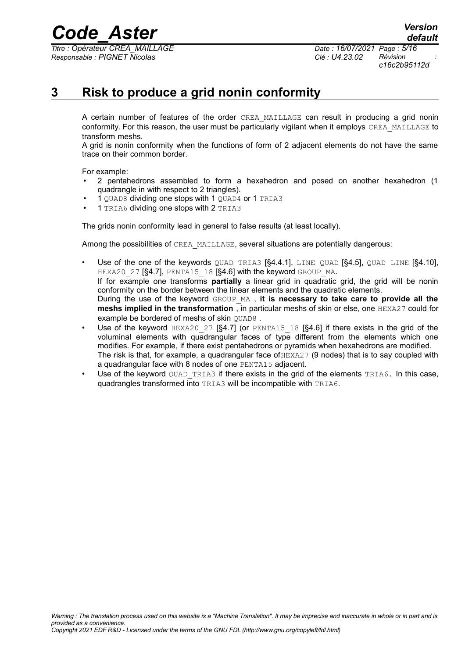*Titre : Opérateur CREA\_MAILLAGE Date : 16/07/2021 Page : 5/16 Responsable : PIGNET Nicolas Clé : U4.23.02 Révision :*

*c16c2b95112d*

## **3 Risk to produce a grid nonin conformity**

<span id="page-4-0"></span>A certain number of features of the order CREA MAILLAGE can result in producing a grid nonin conformity. For this reason, the user must be particularly vigilant when it employs CREA\_MAILLAGE to transform meshs.

A grid is nonin conformity when the functions of form of 2 adjacent elements do not have the same trace on their common border.

For example:

- 2 pentahedrons assembled to form a hexahedron and posed on another hexahedron (1 quadrangle in with respect to 2 triangles).
- 1 QUAD8 dividing one stops with 1 QUAD4 or 1 TRIA3
- 1 TRIA6 dividing one stops with 2 TRIA3

The grids nonin conformity lead in general to false results (at least locally).

Among the possibilities of CREA\_MAILLAGE, several situations are potentially dangerous:

- Use of the one of the keywords QUAD\_TRIA3  $[§4.4.1]$  $[§4.4.1]$ , LINE\_QUAD  $[§4.5]$  $[§4.5]$ , QUAD\_LINE  $[§4.10]$  $[§4.10]$ , HEXA20 27 [[§4.7\]](#page-8-1), PENTA15 18 [[§4.6\]](#page-8-0) with the keyword GROUP MA. If for example one transforms **partially** a linear grid in quadratic grid, the grid will be nonin conformity on the border between the linear elements and the quadratic elements. During the use of the keyword GROUP\_MA , **it is necessary to take care to provide all the meshs implied in the transformation** , in particular meshs of skin or else, one HEXA27 could for example be bordered of meshs of skin OUAD8.
- Use of the keyword  $HERA20$  27 [[§4.7\]](#page-8-1) (or PENTA15 18 [[§4.6\]](#page-8-0) if there exists in the grid of the voluminal elements with quadrangular faces of type different from the elements which one modifies. For example, if there exist pentahedrons or pyramids when hexahedrons are modified. The risk is that, for example, a quadrangular face of  $HEXA27$  (9 nodes) that is to say coupled with a quadrangular face with 8 nodes of one PENTA15 adjacent.
- Use of the keyword QUAD TRIA3 if there exists in the grid of the elements TRIA6. In this case, quadrangles transformed into TRIA3 will be incompatible with TRIA6.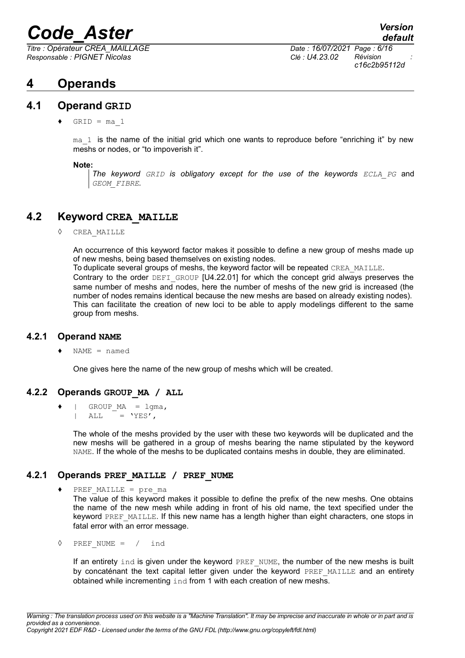*Titre : Opérateur CREA\_MAILLAGE Date : 16/07/2021 Page : 6/16 Responsable : PIGNET Nicolas Clé : U4.23.02 Révision :*

## **4 Operands**

## **4.1 Operand GRID**

 $\triangleleft$  GRID = ma 1

 $ma<sub>1</sub>$  is the name of the initial grid which one wants to reproduce before "enriching it" by new meshs or nodes, or "to impoverish it".

#### **Note:**

*The keyword GRID is obligatory except for the use of the keywords ECLA\_PG* and *GEOM\_FIBRE.*

## **4.2 Keyword CREA\_MAILLE**

◊ CREA\_MAILLE

An occurrence of this keyword factor makes it possible to define a new group of meshs made up of new meshs, being based themselves on existing nodes.

To duplicate several groups of meshs, the keyword factor will be repeated CREA\_MAILLE. Contrary to the order DEFI\_GROUP [U4.22.01] for which the concept grid always preserves the same number of meshs and nodes, here the number of meshs of the new grid is increased (the number of nodes remains identical because the new meshs are based on already existing nodes). This can facilitate the creation of new loci to be able to apply modelings different to the same group from meshs.

## **4.2.1 Operand NAME**

 $NAME = named$ 

One gives here the name of the new group of meshs which will be created.

## **4.2.2 Operands GROUP\_MA / ALL**

 $\bullet$  | GROUP MA = lgma, | ALL  $=$  'YES',

> The whole of the meshs provided by the user with these two keywords will be duplicated and the new meshs will be gathered in a group of meshs bearing the name stipulated by the keyword NAME. If the whole of the meshs to be duplicated contains meshs in double, they are eliminated.

## **4.2.1 Operands PREF\_MAILLE / PREF\_NUME**

- $\blacklozenge$  PREF MAILLE = pre ma The value of this keyword makes it possible to define the prefix of the new meshs. One obtains the name of the new mesh while adding in front of his old name, the text specified under the keyword PREF\_MAILLE. If this new name has a length higher than eight characters, one stops in fatal error with an error message.
- ◊ PREF\_NUME = / ind

If an entirety  $ind$  is given under the keyword  $PREF$  NUME, the number of the new meshs is built by concaténant the text capital letter given under the keyword PREF\_MAILLE and an entirety obtained while incrementing ind from 1 with each creation of new meshs.

*c16c2b95112d*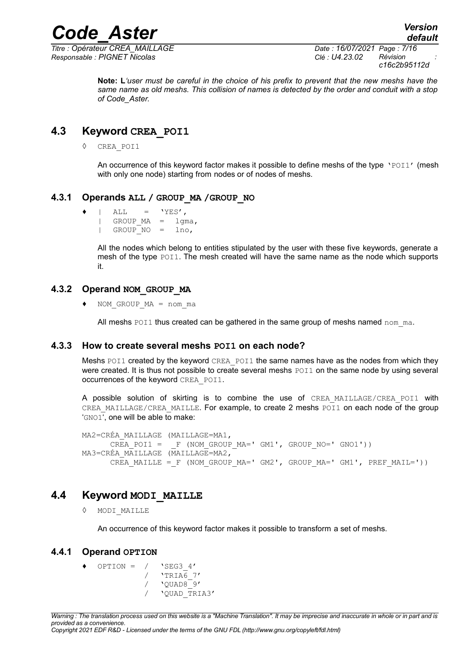*Titre : Opérateur CREA\_MAILLAGE Date : 16/07/2021 Page : 7/16 Responsable : PIGNET Nicolas Clé : U4.23.02 Révision :*

*default*

**Note: L***'user must be careful in the choice of his prefix to prevent that the new meshs have the same name as old meshs. This collision of names is detected by the order and conduit with a stop of Code\_Aster.*

## **4.3 Keyword CREA\_POI1**

◊ CREA\_POI1

An occurrence of this keyword factor makes it possible to define meshs of the type 'POI1' (mesh with only one node) starting from nodes or of nodes of meshs.

#### **4.3.1 Operands ALL / GROUP\_MA /GROUP\_NO**

 $\bullet$  | ALL = 'YES',  $|$  GROUP MA = lgma, | GROUP\_NO = lno,

> All the nodes which belong to entities stipulated by the user with these five keywords, generate a mesh of the type POI1. The mesh created will have the same name as the node which supports it.

#### **4.3.2 Operand NOM\_GROUP\_MA**

 $NOM$  GROUP  $MA$  = nom ma

All meshs  $POT1$  thus created can be gathered in the same group of meshs named nom  $ma$ .

## **4.3.3 How to create several meshs POI1 on each node?**

Meshs POI1 created by the keyword CREA POI1 the same names have as the nodes from which they were created. It is thus not possible to create several meshs  $POI1$  on the same node by using several occurrences of the keyword CREA\_POI1.

A possible solution of skirting is to combine the use of CREA MAILLAGE/CREA POI1 with CREA\_MAILLAGE/CREA\_MAILLE. For example, to create 2 meshs POI1 on each node of the group 'GNO1', one will be able to make:

MA2=CRÉA\_MAILLAGE (MAILLAGE=MA1, CREA POI1 =  $_F$  (NOM GROUP MA=' GM1', GROUP NO=' GNO1')) MA3=CRÉA\_MAILLAGE (MAILLAGE=MA2, CREA MAILLE = F (NOM GROUP MA=' GM2', GROUP MA=' GM1', PREF MAIL='))

## **4.4 Keyword MODI\_MAILLE**

◊ MODI\_MAILLE

An occurrence of this keyword factor makes it possible to transform a set of meshs.

## **4.4.1 Operand OPTION**

<span id="page-6-0"></span>OPTION =  $/$  'SEG3 4'  $/$  'TRIA $6$  7'  $\frac{1}{\sqrt{2UAD8}}$  /  $\frac{1}{\sqrt{2UAD8}}$   $\frac{1}{\sqrt{2VAD8}}$ / 'QUAD\_TRIA3'

*Copyright 2021 EDF R&D - Licensed under the terms of the GNU FDL (http://www.gnu.org/copyleft/fdl.html)*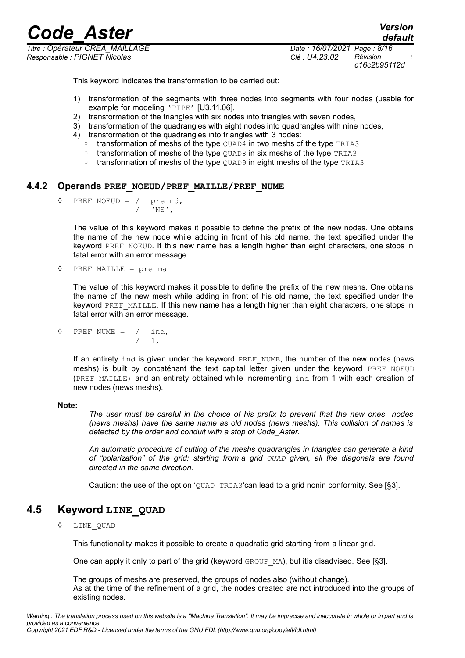*Titre : Opérateur CREA\_MAILLAGE Date : 16/07/2021 Page : 8/16 Responsable : PIGNET Nicolas Clé : U4.23.02 Révision :*

*c16c2b95112d*

*default*

This keyword indicates the transformation to be carried out:

- 1) transformation of the segments with three nodes into segments with four nodes (usable for example for modeling 'PIPE' [U3.11.06],
- 2) transformation of the triangles with six nodes into triangles with seven nodes.
- 3) transformation of the quadrangles with eight nodes into quadrangles with nine nodes,
- 4) transformation of the quadrangles into triangles with 3 nodes:
	- transformation of meshs of the type QUAD4 in two meshs of the type TRIA3
	- transformation of meshs of the type QUAD8 in six meshs of the type TRIA3
	- transformation of meshs of the type OUAD9 in eight meshs of the type TRIA3

#### **4.4.2 Operands PREF\_NOEUD/PREF\_MAILLE/PREF\_NUME**

<span id="page-7-1"></span> $\sqrt[3]{PREF_NOEUD} = / \text{pre}_nd,$ <br>  $/ \text{NS}$ ,  $\sqrt{NS}$ ,

> The value of this keyword makes it possible to define the prefix of the new nodes. One obtains the name of the new node while adding in front of his old name, the text specified under the keyword PREF\_NOEUD. If this new name has a length higher than eight characters, one stops in fatal error with an error message.

◊ PREF\_MAILLE = pre\_ma

The value of this keyword makes it possible to define the prefix of the new meshs. One obtains the name of the new mesh while adding in front of his old name, the text specified under the keyword PREF\_MAILLE. If this new name has a length higher than eight characters, one stops in fatal error with an error message.

 $\Diamond$  PREF\_NUME = / ind. / 1,

> If an entirety ind is given under the keyword PREF\_NUME, the number of the new nodes (news meshs) is built by concaténant the text capital letter given under the keyword PREF\_NOEUD (PREF\_MAILLE) and an entirety obtained while incrementing ind from 1 with each creation of new nodes (news meshs).

#### **Note:**

*The user must be careful in the choice of his prefix to prevent that the new ones nodes (news meshs) have the same name as old nodes (news meshs). This collision of names is detected by the order and conduit with a stop of Code\_Aster.*

*An automatic procedure of cutting of the meshs quadrangles in triangles can generate a kind of "polarization" of the grid: starting from a grid QUAD given, all the diagonals are found directed in the same direction.*

Caution: the use of the option 'QUAD\_TRIA3'can lead to a grid nonin conformity. See [[§3\]](#page-4-0).

## **4.5 Keyword LINE\_QUAD**

#### <span id="page-7-0"></span>◊ LINE\_QUAD

This functionality makes it possible to create a quadratic grid starting from a linear grid.

One can apply it only to part of the grid (keyword GROUP MA), but itis disadvised. See [[§3\]](#page-4-0).

The groups of meshs are preserved, the groups of nodes also (without change). As at the time of the refinement of a grid, the nodes created are not introduced into the groups of existing nodes.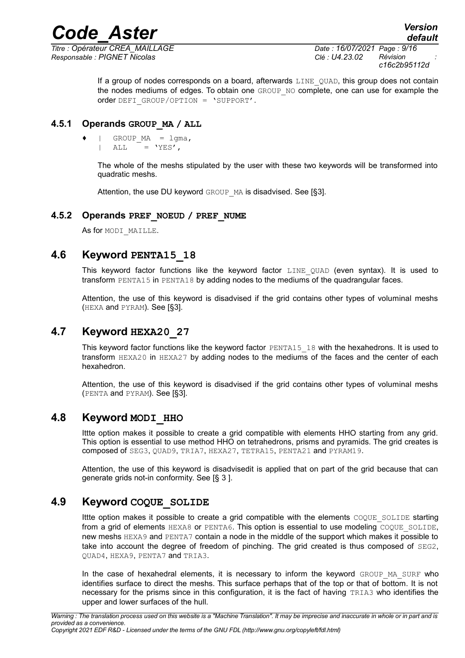*Responsable : PIGNET Nicolas Clé : U4.23.02 Révision :*

*Titre : Opérateur CREA\_MAILLAGE Date : 16/07/2021 Page : 9/16 c16c2b95112d*

> If a group of nodes corresponds on a board, afterwards LINE QUAD, this group does not contain the nodes mediums of edges. To obtain one GROUP NO complete, one can use for example the order DEFI\_GROUP/OPTION = 'SUPPORT'.

## **4.5.1 Operands GROUP\_MA / ALL**

 $GROUPMA = 1gma,$  $ALL = 'YES'.$ 

> The whole of the meshs stipulated by the user with these two keywords will be transformed into quadratic meshs.

Attention, the use DU keyword GROUP MA is disadvised. See [[§3\]](#page-4-0).

## **4.5.2 Operands PREF\_NOEUD / PREF\_NUME**

As for MODI MAILLE.

## **4.6 Keyword PENTA15\_18**

<span id="page-8-0"></span>This keyword factor functions like the keyword factor LINE QUAD (even syntax). It is used to transform PENTA15 in PENTA18 by adding nodes to the mediums of the quadrangular faces.

Attention, the use of this keyword is disadvised if the grid contains other types of voluminal meshs (HEXA and PYRAM). See [[§3\]](#page-4-0).

## **4.7 Keyword HEXA20\_27**

<span id="page-8-1"></span>This keyword factor functions like the keyword factor PENTA15\_18 with the hexahedrons. It is used to transform HEXA20 in HEXA27 by adding nodes to the mediums of the faces and the center of each hexahedron.

Attention, the use of this keyword is disadvised if the grid contains other types of voluminal meshs (PENTA and PYRAM). See [[§3\]](#page-4-0).

## **4.8 Keyword MODI\_HHO**

Ittte option makes it possible to create a grid compatible with elements HHO starting from any grid. This option is essential to use method HHO on tetrahedrons, prisms and pyramids. The grid creates is composed of SEG3, QUAD9, TRIA7, HEXA27, TETRA15, PENTA21 and PYRAM19.

Attention, the use of this keyword is disadvisedit is applied that on part of the grid because that can generate grids not-in conformity. See [§ [3](#page-4-0) ].

## **4.9 Keyword COQUE\_SOLIDE**

Ittte option makes it possible to create a grid compatible with the elements COOUE SOLIDE starting from a grid of elements HEXA8 or PENTA6. This option is essential to use modeling COQUE SOLIDE, new meshs HEXA9 and PENTA7 contain a node in the middle of the support which makes it possible to take into account the degree of freedom of pinching. The grid created is thus composed of SEG2, QUAD4, HEXA9, PENTA7 and TRIA3.

In the case of hexahedral elements, it is necessary to inform the keyword GROUP MA\_SURF who identifies surface to direct the meshs. This surface perhaps that of the top or that of bottom. It is not necessary for the prisms since in this configuration, it is the fact of having TRIA3 who identifies the upper and lower surfaces of the hull.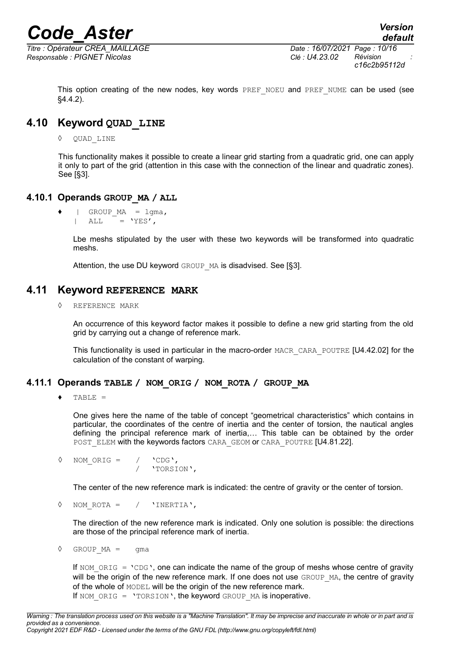*Responsable : PIGNET Nicolas Clé : U4.23.02 Révision :*

*Titre : Opérateur CREA\_MAILLAGE Date : 16/07/2021 Page : 10/16 c16c2b95112d*

This option creating of the new nodes, key words PREF\_NOEU and PREF\_NUME can be used (see [§4.4.2\)](#page-7-1).

## **4.10 Keyword QUAD\_LINE**

<span id="page-9-0"></span>◊ QUAD\_LINE

This functionality makes it possible to create a linear grid starting from a quadratic grid, one can apply it only to part of the grid (attention in this case with the connection of the linear and quadratic zones). See [[§3\]](#page-4-0).

#### **4.10.1 Operands GROUP\_MA / ALL**

 $\bullet$  | GROUP MA = lgma,  $|$  ALL = 'YES',

> Lbe meshs stipulated by the user with these two keywords will be transformed into quadratic meshs.

Attention, the use DU keyword GROUP MA is disadvised. See [[§3\]](#page-4-0).

## **4.11 Keyword REFERENCE MARK**

REFERENCE MARK

An occurrence of this keyword factor makes it possible to define a new grid starting from the old grid by carrying out a change of reference mark.

This functionality is used in particular in the macro-order MACR\_CARA\_POUTRE [U4.42.02] for the calculation of the constant of warping.

## **4.11.1 Operands TABLE / NOM\_ORIG / NOM\_ROTA / GROUP\_MA**

♦ TABLE =

One gives here the name of the table of concept "geometrical characteristics" which contains in particular, the coordinates of the centre of inertia and the center of torsion, the nautical angles defining the principal reference mark of inertia,… This table can be obtained by the order POST\_ELEM with the keywords factors CARA\_GEOM or CARA\_POUTRE [U4.81.22].

 $\Diamond$  NOM ORIG = / 'CDG', / 'TORSION',

The center of the new reference mark is indicated: the centre of gravity or the center of torsion.

◊ NOM\_ROTA = / 'INERTIA',

The direction of the new reference mark is indicated. Only one solution is possible: the directions are those of the principal reference mark of inertia.

 $\Diamond$  GROUP MA = qma

If NOM ORIG = 'CDG', one can indicate the name of the group of meshs whose centre of gravity will be the origin of the new reference mark. If one does not use GROUP MA, the centre of gravity of the whole of MODEL will be the origin of the new reference mark. If NOM ORIG = 'TORSION', the keyword GROUP MA is inoperative.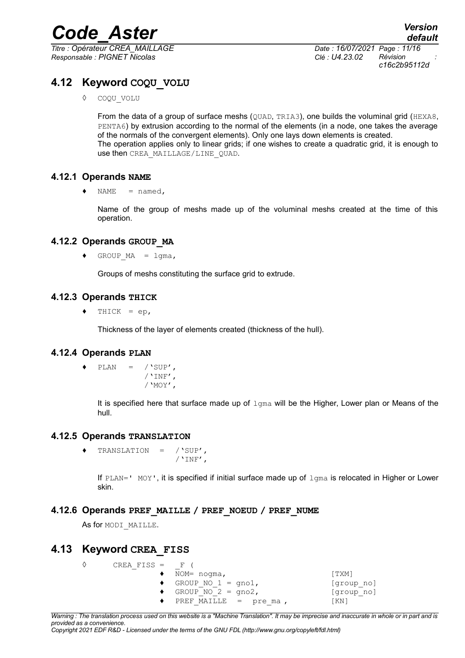*Titre : Opérateur CREA\_MAILLAGE Date : 16/07/2021 Page : 11/16 Responsable : PIGNET Nicolas Clé : U4.23.02 Révision :*

*c16c2b95112d*

## **4.12 Keyword COQU\_VOLU**

◊ COQU\_VOLU

From the data of a group of surface meshs (OUAD, TRIA3), one builds the voluminal grid (HEXA8, PENTA6) by extrusion according to the normal of the elements (in a node, one takes the average of the normals of the convergent elements). Only one lays down elements is created. The operation applies only to linear grids; if one wishes to create a quadratic grid, it is enough to use then CREA\_MAILLAGE/LINE\_QUAD.

## **4.12.1 Operands NAME**

 $\triangleleft$  NAME = named,

Name of the group of meshs made up of the voluminal meshs created at the time of this operation.

## **4.12.2 Operands GROUP\_MA**

 $\bullet$  GROUP MA = lgma,

Groups of meshs constituting the surface grid to extrude.

## **4.12.3 Operands THICK**

 $\triangleleft$  THICK = ep,

Thickness of the layer of elements created (thickness of the hull).

## **4.12.4 Operands PLAN**

 $\triangleleft$  PLAN = /'SUP',  $/$ 'INF', /'MOY',

> It is specified here that surface made up of  $l_{\text{Gma}}$  will be the Higher, Lower plan or Means of the hull.

## **4.12.5 Operands TRANSLATION**

♦ TRANSLATION = /'SUP',  $/$ 'INF',

If  $PLAN = '$  MOY', it is specified if initial surface made up of  $1 \text{g}$  is relocated in Higher or Lower skin.

## **4.12.6 Operands PREF\_MAILLE / PREF\_NOEUD / PREF\_NUME**

As for MODI MAILLE.

## **4.13 Keyword CREA\_FISS**

| CREA FISS = $F($             |                              |            |
|------------------------------|------------------------------|------------|
|                              | $\bullet$ NOM= noqma,        | [ TXM]     |
|                              | $\bullet$ GROUP NO 1 = qno1, | [group no] |
| GROUP NO $2 = \text{qno2}$ , |                              | [group no] |
|                              | PREF MAILLE = $pre$ ma,      | [KN]       |

*Warning : The translation process used on this website is a "Machine Translation". It may be imprecise and inaccurate in whole or in part and is provided as a convenience.*

*Copyright 2021 EDF R&D - Licensed under the terms of the GNU FDL (http://www.gnu.org/copyleft/fdl.html)*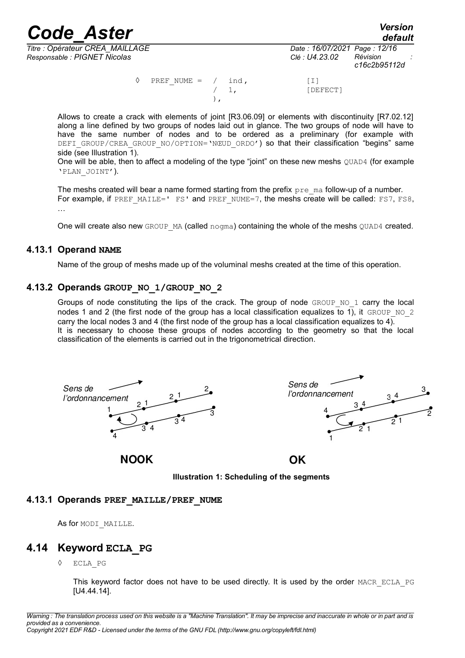*default*

*Responsable : PIGNET Nicolas Clé : U4.23.02 Révision :*

 $\Diamond$  PREF NUME = / ind , [I] 1, [DEFECT] ),

Allows to create a crack with elements of joint [R3.06.09] or elements with discontinuity [R7.02.12] along a line defined by two groups of nodes laid out in glance. The two groups of node will have to have the same number of nodes and to be ordered as a preliminary (for example with DEFI\_GROUP/CREA\_GROUP\_NO/OPTION='NŒUD\_ORDO') so that their classification "begins" same side (see [Illustration 1\)](#page-11-0).

One will be able, then to affect a modeling of the type "joint" on these new meshs QUAD4 (for example 'PLAN\_JOINT').

The meshs created will bear a name formed starting from the prefix  $pre$  ma follow-up of a number. For example, if PREF\_MAILE=' FS' and PREF\_NUME=7, the meshs create will be called: FS7, FS8, …

One will create also new GROUP MA (called nogma) containing the whole of the meshs QUAD4 created.

## **4.13.1 Operand NAME**

Name of the group of meshs made up of the voluminal meshs created at the time of this operation.

## **4.13.2 Operands GROUP\_NO\_1/GROUP\_NO\_2**

Groups of node constituting the lips of the crack. The group of node  $GROUPNO1$  carry the local nodes 1 and 2 (the first node of the group has a local classification equalizes to 1), it GROUP NO 2 carry the local nodes 3 and 4 (the first node of the group has a local classification equalizes to  $4)$ . It is necessary to choose these groups of nodes according to the geometry so that the local classification of the elements is carried out in the trigonometrical direction.



<span id="page-11-0"></span>**Illustration 1: Scheduling of the segments**

## **4.13.1 Operands PREF\_MAILLE/PREF\_NUME**

As for MODI MAILLE.

## **4.14 Keyword ECLA\_PG**

◊ ECLA\_PG

This keyword factor does not have to be used directly. It is used by the order MACR ECLA\_PG [U4.44.14].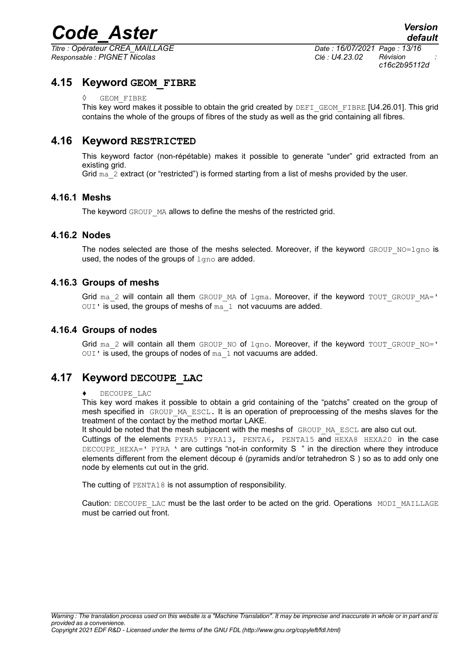*Titre : Opérateur CREA\_MAILLAGE Date : 16/07/2021 Page : 13/16 Responsable : PIGNET Nicolas Clé : U4.23.02 Révision :*

*c16c2b95112d*

## **4.15 Keyword GEOM\_FIBRE**

**GEOM FIBRE** 

This key word makes it possible to obtain the grid created by DEFI\_GEOM\_FIBRE [U4.26.01]. This grid contains the whole of the groups of fibres of the study as well as the grid containing all fibres.

## **4.16 Keyword RESTRICTED**

This keyword factor (non-répétable) makes it possible to generate "under" grid extracted from an existing grid.

Grid  $ma \ 2$  extract (or "restricted") is formed starting from a list of meshs provided by the user.

## **4.16.1 Meshs**

The keyword GROUP MA allows to define the meshs of the restricted grid.

## **4.16.2 Nodes**

The nodes selected are those of the meshs selected. Moreover, if the keyword  $GROUP-NO=Lqno$  is used, the nodes of the groups of  $lqno$  are added.

## **4.16.3 Groups of meshs**

Grid ma\_2 will contain all them GROUP\_MA of  $lg$ ma. Moreover, if the keyword TOUT\_GROUP\_MA='  $OUT$  is used, the groups of meshs of  $ma_1$  not vacuums are added.

## **4.16.4 Groups of nodes**

Grid ma\_2 will contain all them GROUP\_NO of  $1gno$ . Moreover, if the keyword TOUT GROUP\_NO='  $OUT$  is used, the groups of nodes of  $ma \t1$  not vacuums are added.

## **4.17 Keyword DECOUPE\_LAC**

#### DECOUPE LAC

This key word makes it possible to obtain a grid containing of the "patchs" created on the group of mesh specified in GROUP MA ESCL. It is an operation of preprocessing of the meshs slaves for the treatment of the contact by the method mortar LAKE.

It should be noted that the mesh subjacent with the meshs of GROUP MA\_ESCL are also cut out.

Cuttings of the elements PYRA5 PYRA13, PENTA6, PENTA15 and HEXA8 HEXA20 in the case DECOUPE HEXA=' PYRA ' are cuttings "not-in conformity S " in the direction where they introduce elements different from the element découp é (pyramids and/or tetrahedron S ) so as to add only one node by elements cut out in the grid.

The cutting of PENTA18 is not assumption of responsibility.

Caution: DECOUPE\_LAC must be the last order to be acted on the grid. Operations MODI\_MAILLAGE must be carried out front.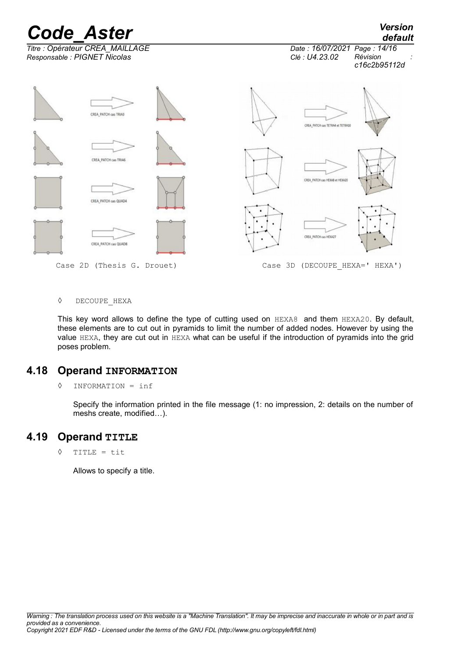

◊ DECOUPE\_HEXA

This key word allows to define the type of cutting used on HEXA8 and them HEXA20. By default, these elements are to cut out in pyramids to limit the number of added nodes. However by using the value HEXA, they are cut out in HEXA what can be useful if the introduction of pyramids into the grid poses problem.

## **4.18 Operand INFORMATION**

◊ INFORMATION = inf

Specify the information printed in the file message (1: no impression, 2: details on the number of meshs create, modified…).

## **4.19 Operand TITLE**

◊ TITLE = tit

Allows to specify a title.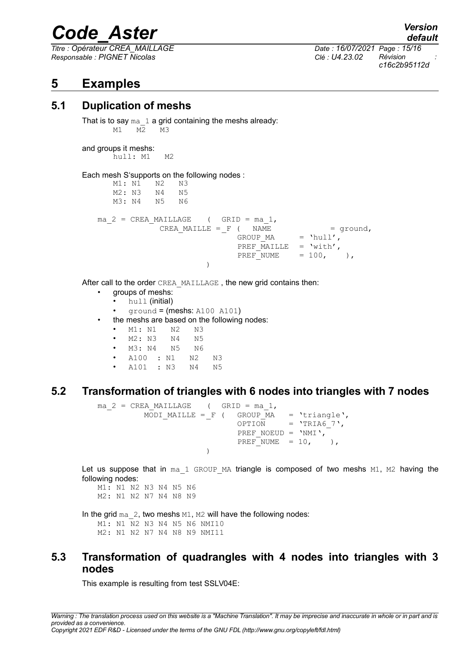*Titre : Opérateur CREA\_MAILLAGE Date : 16/07/2021 Page : 15/16 Responsable : PIGNET Nicolas Clé : U4.23.02 Révision :*

*c16c2b95112d*

## **5 Examples**

## **5.1 Duplication of meshs**

That is to say  $ma \ 1$  a grid containing the meshs already: M1 M2 M3

and groups it meshs: hull: M1 M2

Each mesh S'supports on the following nodes :

M1: N1 N2 N3 M2: N3 N4 N5 M3: N4 N5 N6 ma  $2$  = CREA MAILLAGE ( GRID = ma 1, CREA\_MAILLE =  $_F$  ( NAME = ground, GROUP MA  $=$  'hull', PREF\_MAILLE = 'with',<br>PREF\_NUME =  $100,$  ), PREF NUME  $= 100$ , )

After call to the order CREA\_MAILLAGE , the new grid contains then:

- groups of meshs:
	- hull (initial)
	- ground  $=$  (meshs: A100 A101)
- the meshs are based on the following nodes:
	- M1: N1 N2 N3
	- M2: N3 N4 N5
	- M3: N4 N5 N6
	- A100 : N1 N2 N3
	- A101 : N3 N4 N5

## **5.2 Transformation of triangles with 6 nodes into triangles with 7 nodes**

```
ma 2 = CREA MAILLAGE ( GRID = ma 1,
         MODI MAILLE = F ( GROUP MA = 'triangle',
                           OPTION = 'TRIA6 7',
                           PREF_NOEUD = 'NMI',
                           PREF NUME = 10, ),
                     )
```
Let us suppose that in  $ma\ 1$  GROUP MA triangle is composed of two meshs  $M1$ , M2 having the following nodes:

M1: N1 N2 N3 N4 N5 N6 M2: N1 N2 N7 N4 N8 N9

In the grid  $ma_2$ , two meshs  $M1$ ,  $M2$  will have the following nodes: M1: N1 N2 N3 N4 N5 N6 NMI10 M2: N1 N2 N7 N4 N8 N9 NMI11

## **5.3 Transformation of quadrangles with 4 nodes into triangles with 3 nodes**

This example is resulting from test SSLV04E:

*default*